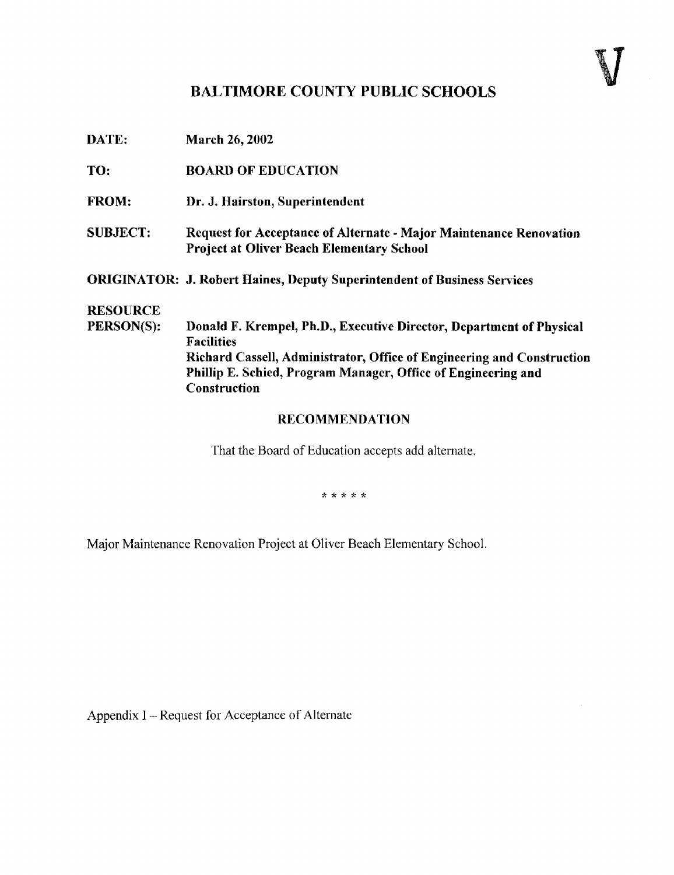## BALTIMORE COUNTY PUBLIC SCHOOLS

| DATE:                         | <b>March 26, 2002</b>                                                                                                                                                                                                                                |
|-------------------------------|------------------------------------------------------------------------------------------------------------------------------------------------------------------------------------------------------------------------------------------------------|
| TO:                           | <b>BOARD OF EDUCATION</b>                                                                                                                                                                                                                            |
| <b>FROM:</b>                  | Dr. J. Hairston, Superintendent                                                                                                                                                                                                                      |
| <b>SUBJECT:</b>               | Request for Acceptance of Alternate - Major Maintenance Renovation<br><b>Project at Oliver Beach Elementary School</b>                                                                                                                               |
|                               | <b>ORIGINATOR: J. Robert Haines, Deputy Superintendent of Business Services</b>                                                                                                                                                                      |
| <b>RESOURCE</b><br>PERSON(S): | Donald F. Krempel, Ph.D., Executive Director, Department of Physical<br><b>Facilities</b><br>Richard Cassell, Administrator, Office of Engineering and Construction<br>Phillip E. Schied, Program Manager, Office of Engineering and<br>Construction |
|                               | <b>RECOMMENDATION</b>                                                                                                                                                                                                                                |

That the Board of Education accepts add alternate.

\* \* \* \* \*

Major Maintenance Renovation Project at Oliver Beach Elementary School .

Appendix I -- Request for Acceptance of Alternate